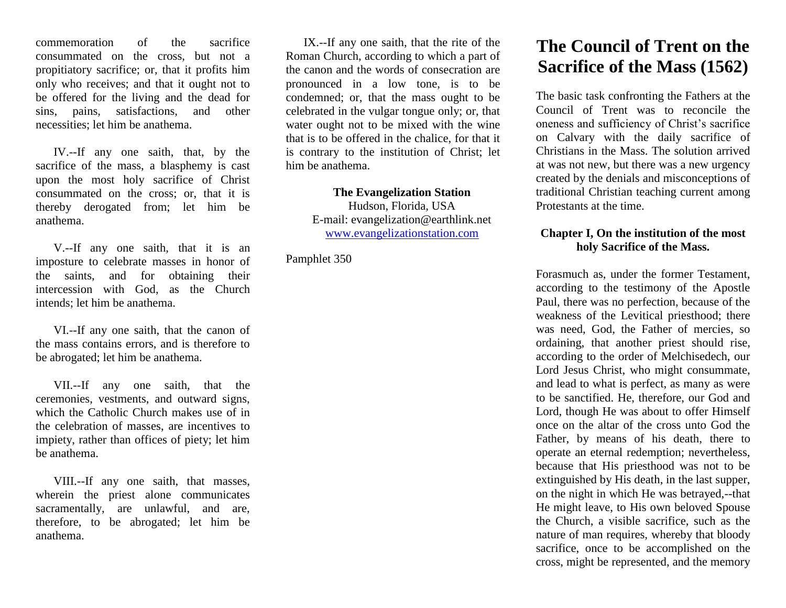commemoration of the sacrifice consummated on the cross, but not a propitiatory sacrifice; or, that it profits him only who receives; and that it ought not to be offered for the living and the dead for sins, pains, satisfactions, and other necessities; let him be anathema.

IV.--If any one saith, that, by the sacrifice of the mass, a blasphemy is cast upon the most holy sacrifice of Christ consummated on the cross; or, that it is thereby derogated from; let him be anathema.

V.--If any one saith, that it is an imposture to celebrate masses in honor of the saints, and for obtaining their intercession with God, as the Church intends; let him be anathema.

VI.--If any one saith, that the canon of the mass contains errors, and is therefore to be abrogated; let him be anathema.

VII.--If any one saith, that the ceremonies, vestments, and outward signs, which the Catholic Church makes use of in the celebration of masses, are incentives to impiety, rather than offices of piety; let him be anathema.

VIII.--If any one saith, that masses, wherein the priest alone communicates sacramentally, are unlawful, and are, therefore, to be abrogated; let him be anathema.

IX.--If any one saith, that the rite of the Roman Church, according to which a part of the canon and the words of consecration are pronounced in a low tone, is to be condemned; or, that the mass ought to be celebrated in the vulgar tongue only; or, that water ought not to be mixed with the wine that is to be offered in the chalice, for that it is contrary to the institution of Christ; let him be anathema.

> **The Evangelization Station**  Hudson, Florida, USA E-mail: evangelization@earthlink.net [www.evangelizationstation.com](http://www.pjpiisoe.org/)

Pamphlet 350

# **The Council of Trent on the Sacrifice of the Mass (1562)**

The basic task confronting the Fathers at the Council of Trent was to reconcile the oneness and sufficiency of Christ's sacrifice on Calvary with the daily sacrifice of Christians in the Mass. The solution arrived at was not new, but there was a new urgency created by the denials and misconceptions of traditional Christian teaching current among Protestants at the time.

## **Chapter I, On the institution of the most holy Sacrifice of the Mass.**

Forasmuch as, under the former Testament, according to the testimony of the Apostle Paul, there was no perfection, because of the weakness of the Levitical priesthood; there was need, God, the Father of mercies, so ordaining, that another priest should rise, according to the order of Melchisedech, our Lord Jesus Christ, who might consummate, and lead to what is perfect, as many as were to be sanctified. He, therefore, our God and Lord, though He was about to offer Himself once on the altar of the cross unto God the Father, by means of his death, there to operate an eternal redemption; nevertheless, because that His priesthood was not to be extinguished by His death, in the last supper, on the night in which He was betrayed,--that He might leave, to His own beloved Spouse the Church, a visible sacrifice, such as the nature of man requires, whereby that bloody sacrifice, once to be accomplished on the cross, might be represented, and the memory